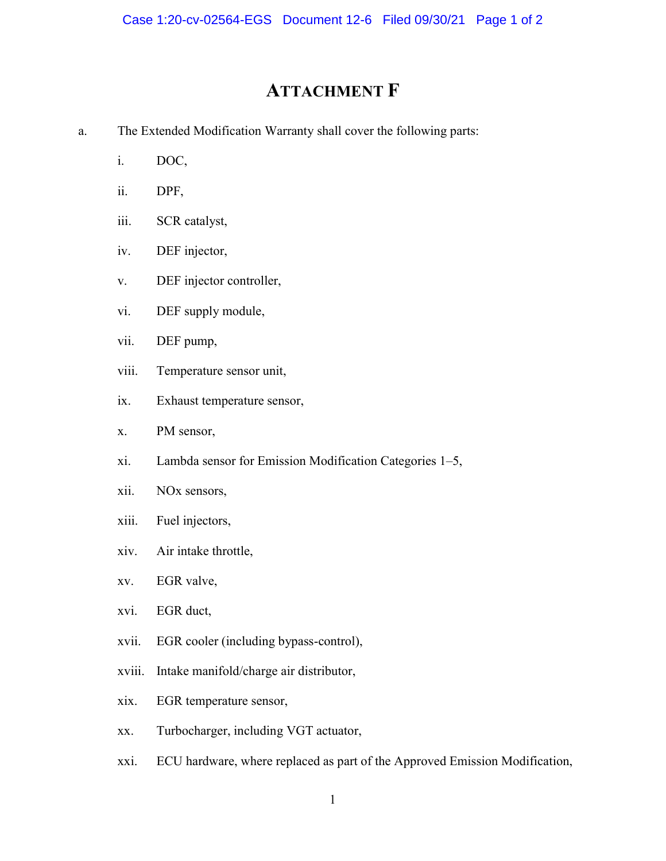## ATTACHMENT F

- a. The Extended Modification Warranty shall cover the following parts:
	- i. DOC,
	- ii. DPF,
	- iii. SCR catalyst,
	- iv. DEF injector,
	- v. DEF injector controller,
	- vi. DEF supply module,
	- vii. DEF pump,
	- viii. Temperature sensor unit,
	- ix. Exhaust temperature sensor,
	- x. PM sensor,
	- xi. Lambda sensor for Emission Modification Categories 1–5,
	- xii. NOx sensors,
	- xiii. Fuel injectors,
	- xiv. Air intake throttle,
	- xv. EGR valve,
	- xvi. EGR duct,
	- xvii. EGR cooler (including bypass-control),
	- xviii. Intake manifold/charge air distributor,
	- xix. EGR temperature sensor,
	- xx. Turbocharger, including VGT actuator,
	- xxi. ECU hardware, where replaced as part of the Approved Emission Modification,